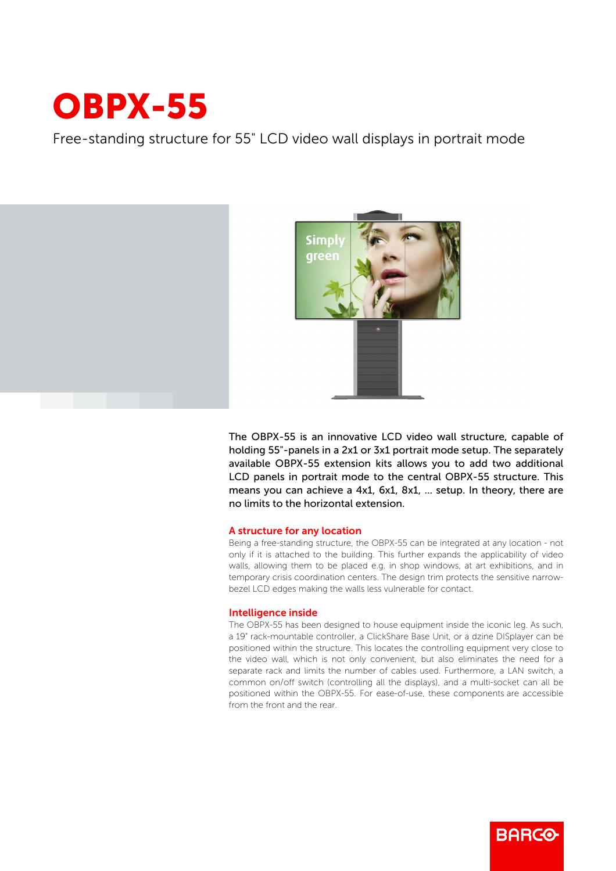

Free-standing structure for 55" LCD video wall displays in portrait mode



The OBPX-55 is an innovative LCD video wall structure, capable of holding 55"-panels in a 2x1 or 3x1 portrait mode setup. The separately available OBPX-55 extension kits allows you to add two additional LCD panels in portrait mode to the central OBPX-55 structure. This means you can achieve a 4x1, 6x1, 8x1, ... setup. In theory, there are no limits to the horizontal extension.

## A structure for any location

Being a free-standing structure, the OBPX-55 can be integrated at any location - not only if it is attached to the building. This further expands the applicability of video walls, allowing them to be placed e.g. in shop windows, at art exhibitions, and in temporary crisis coordination centers. The design trim protects the sensitive narrowbezel LCD edges making the walls less vulnerable for contact.

## Intelligence inside

The OBPX-55 has been designed to house equipment inside the iconic leg. As such, a 19" rack-mountable controller, a ClickShare Base Unit, or a dzine DISplayer can be positioned within the structure. This locates the controlling equipment very close to the video wall, which is not only convenient, but also eliminates the need for a separate rack and limits the number of cables used. Furthermore, a LAN switch, a common on/off switch (controlling all the displays), and a multi-socket can all be positioned within the OBPX-55. For ease-of-use, these components are accessible from the front and the rear.